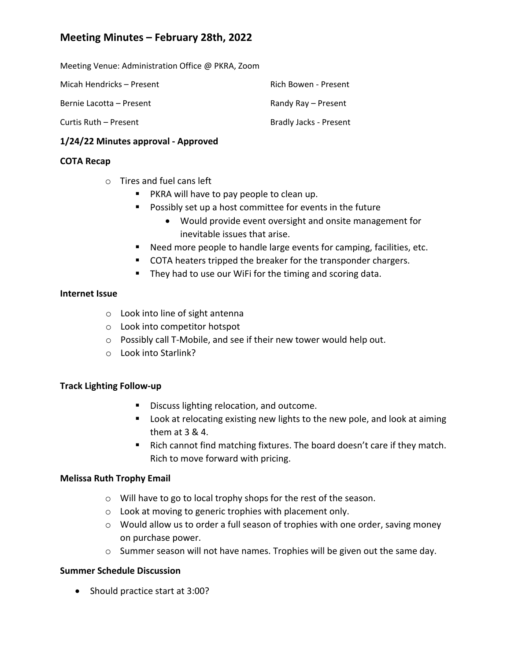# **Meeting Minutes – February 28th, 2022**

Meeting Venue: Administration Office @ PKRA, Zoom

| Micah Hendricks – Present | Rich Bowen - Present   |
|---------------------------|------------------------|
| Bernie Lacotta – Present  | Randy Ray – Present    |
| Curtis Ruth – Present     | Bradly Jacks - Present |

### **1/24/22 Minutes approval ‐ Approved**

## **COTA Recap**

- o Tires and fuel cans left
	- **PKRA will have to pay people to clean up.**
	- **Possibly set up a host committee for events in the future** 
		- Would provide event oversight and onsite management for inevitable issues that arise.
	- Need more people to handle large events for camping, facilities, etc.
	- COTA heaters tripped the breaker for the transponder chargers.
	- **They had to use our WiFi for the timing and scoring data.**

### **Internet Issue**

- o Look into line of sight antenna
- o Look into competitor hotspot
- o Possibly call T‐Mobile, and see if their new tower would help out.
- o Look into Starlink?

### **Track Lighting Follow‐up**

- Discuss lighting relocation, and outcome.
- **Look at relocating existing new lights to the new pole, and look at aiming** them at 3 & 4.
- Rich cannot find matching fixtures. The board doesn't care if they match. Rich to move forward with pricing.

### **Melissa Ruth Trophy Email**

- o Will have to go to local trophy shops for the rest of the season.
- o Look at moving to generic trophies with placement only.
- o Would allow us to order a full season of trophies with one order, saving money on purchase power.
- $\circ$  Summer season will not have names. Trophies will be given out the same day.

### **Summer Schedule Discussion**

• Should practice start at 3:00?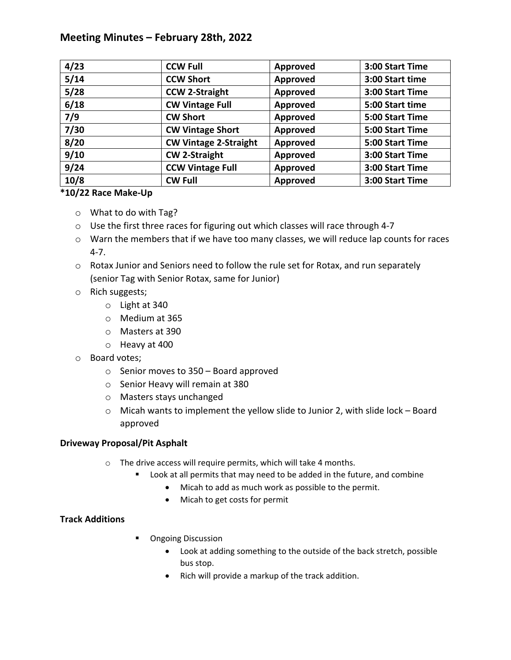# **Meeting Minutes – February 28th, 2022**

| 4/23 | <b>CCW Full</b>              | Approved        | 3:00 Start Time |
|------|------------------------------|-----------------|-----------------|
| 5/14 | <b>CCW Short</b>             | Approved        | 3:00 Start time |
| 5/28 | <b>CCW 2-Straight</b>        | <b>Approved</b> | 3:00 Start Time |
| 6/18 | <b>CW Vintage Full</b>       | Approved        | 5:00 Start time |
| 7/9  | <b>CW Short</b>              | Approved        | 5:00 Start Time |
| 7/30 | <b>CW Vintage Short</b>      | Approved        | 5:00 Start Time |
| 8/20 | <b>CW Vintage 2-Straight</b> | Approved        | 5:00 Start Time |
| 9/10 | <b>CW 2-Straight</b>         | Approved        | 3:00 Start Time |
| 9/24 | <b>CCW Vintage Full</b>      | Approved        | 3:00 Start Time |
| 10/8 | <b>CW Full</b>               | Approved        | 3:00 Start Time |

### **\*10/22 Race Make‐Up**

- o What to do with Tag?
- o Use the first three races for figuring out which classes will race through 4‐7
- $\circ$  Warn the members that if we have too many classes, we will reduce lap counts for races 4‐7.
- o Rotax Junior and Seniors need to follow the rule set for Rotax, and run separately (senior Tag with Senior Rotax, same for Junior)
- o Rich suggests;
	- o Light at 340
	- o Medium at 365
	- o Masters at 390
	- o Heavy at 400
- o Board votes;
	- o Senior moves to 350 Board approved
	- o Senior Heavy will remain at 380
	- o Masters stays unchanged
	- o Micah wants to implement the yellow slide to Junior 2, with slide lock Board approved

### **Driveway Proposal/Pit Asphalt**

- o The drive access will require permits, which will take 4 months.
	- **EXTER** Look at all permits that may need to be added in the future, and combine
		- Micah to add as much work as possible to the permit.
		- Micah to get costs for permit

### **Track Additions**

- **•** Ongoing Discussion
	- Look at adding something to the outside of the back stretch, possible bus stop.
	- Rich will provide a markup of the track addition.